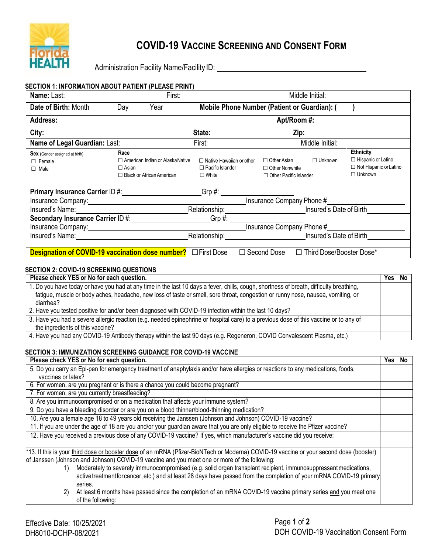

# **COVID-19 VACCINE SCREENING AND CONSENT FORM**

Administration Facility Name/Facility ID: \\connection \\connection Facility Name/Facility ID:

| <b>SECTION 1: INFORMATION ABOUT PATIENT (PLEASE PRINT)</b>                                                                                                                                                                                                              |                                                                                                     |                                                                                                                 |                                                                              |                 |                                                                                                  |
|-------------------------------------------------------------------------------------------------------------------------------------------------------------------------------------------------------------------------------------------------------------------------|-----------------------------------------------------------------------------------------------------|-----------------------------------------------------------------------------------------------------------------|------------------------------------------------------------------------------|-----------------|--------------------------------------------------------------------------------------------------|
| Name: Last:                                                                                                                                                                                                                                                             | First:                                                                                              |                                                                                                                 |                                                                              | Middle Initial: |                                                                                                  |
| Date of Birth: Month                                                                                                                                                                                                                                                    | Day<br>Year                                                                                         | Mobile Phone Number (Patient or Guardian): (                                                                    |                                                                              |                 |                                                                                                  |
| <b>Address:</b>                                                                                                                                                                                                                                                         |                                                                                                     |                                                                                                                 | Apt/Room #:                                                                  |                 |                                                                                                  |
| City:                                                                                                                                                                                                                                                                   |                                                                                                     | State:                                                                                                          | Zip:                                                                         |                 |                                                                                                  |
| Name of Legal Guardian: Last:                                                                                                                                                                                                                                           |                                                                                                     | First:                                                                                                          |                                                                              | Middle Initial: |                                                                                                  |
| <b>Sex</b> (Gender assigned at birth)<br>$\Box$ Female<br>$\Box$ Male                                                                                                                                                                                                   | Race<br>$\Box$ American Indian or Alaska Native<br>$\Box$ Asian<br>$\Box$ Black or African American | $\Box$ Native Hawaiian or other<br>$\Box$ Pacific Islander<br>$\Box$ White                                      | $\Box$ Other Asian<br>$\Box$ Other Nonwhite<br>$\Box$ Other Pacific Islander | $\Box$ Unknown  | <b>Ethnicity</b><br>$\Box$ Hispanic or Latino<br>$\Box$ Not Hispanic or Latino<br>$\Box$ Unknown |
| Primary Insurance Carrier ID #: Network of the Manuscript of the Manuscript of the Manuscript of the Manuscript                                                                                                                                                         |                                                                                                     | $Grp \#:$                                                                                                       |                                                                              |                 |                                                                                                  |
| Insurance Company Phone #<br>Insurance Company: 1990 and 200 million and 200 million and 200 million and 200 million and 200 million and 20                                                                                                                             |                                                                                                     |                                                                                                                 |                                                                              |                 |                                                                                                  |
| Relationship: Insured's Date of Birth<br>Insured's Name: The Contract of the Contract of the Contract of the Contract of the Contract of the Contract of the Contract of the Contract of the Contract of the Contract of the Contract of the Contract of the Contract o |                                                                                                     |                                                                                                                 |                                                                              |                 |                                                                                                  |
| Secondary Insurance Carrier ID #: Network 10 Assembly<br>Grp #: _________________________                                                                                                                                                                               |                                                                                                     |                                                                                                                 |                                                                              |                 |                                                                                                  |
| Insurance Company Phone #<br>Insurance Company: 1997                                                                                                                                                                                                                    |                                                                                                     |                                                                                                                 |                                                                              |                 |                                                                                                  |
| Insured's Name: <u>contract and the set of the set of the set of the set of the set of the set of the set of the set of the set of the set of the set of the set of the set of the set of the set of the set of the set of the s</u>                                    |                                                                                                     | Relationship: Nelationship: Nelationship: Nelationship: Nelationship: Nelationship: Nelson Supervisors and Musl |                                                                              |                 |                                                                                                  |
| <b>Designation of COVID-19 vaccination dose number?</b> $\Box$ First Dose<br>□ Third Dose/Booster Dose*<br>$\Box$ Second Dose                                                                                                                                           |                                                                                                     |                                                                                                                 |                                                                              |                 |                                                                                                  |

# **SECTION 2: COVID-19 SCREENING QUESTIONS**

| Please check YES or No for each question.                                                                                                                                                                                                                                   |  |  |
|-----------------------------------------------------------------------------------------------------------------------------------------------------------------------------------------------------------------------------------------------------------------------------|--|--|
| 1. Do you have today or have you had at any time in the last 10 days a fever, chills, cough, shortness of breath, difficulty breathing,<br>fatigue, muscle or body aches, headache, new loss of taste or smell, sore throat, congestion or runny nose, nausea, vomiting, or |  |  |
| diarrhea?                                                                                                                                                                                                                                                                   |  |  |
| 2. Have you tested positive for and/or been diagnosed with COVID-19 infection within the last 10 days?                                                                                                                                                                      |  |  |
| 3. Have you had a severe allergic reaction (e.g. needed epinephrine or hospital care) to a previous dose of this vaccine or to any of<br>the ingredients of this vaccine?                                                                                                   |  |  |
| 4. Have you had any COVID-19 Antibody therapy within the last 90 days (e.g. Regeneron, COVID Convalescent Plasma, etc.)                                                                                                                                                     |  |  |

### **SECTION 3: IMMUNIZATION SCREENING GUIDANCE FOR COVID-19 VACCINE**

| Please check YES or No for each question.                                                                                              |  |  |  |
|----------------------------------------------------------------------------------------------------------------------------------------|--|--|--|
| 5. Do you carry an Epi-pen for emergency treatment of anaphylaxis and/or have allergies or reactions to any medications, foods,        |  |  |  |
| vaccines or latex?                                                                                                                     |  |  |  |
| 6. For women, are you pregnant or is there a chance you could become pregnant?                                                         |  |  |  |
| 7. For women, are you currently breastfeeding?                                                                                         |  |  |  |
| 8. Are you immunocompromised or on a medication that affects your immune system?                                                       |  |  |  |
| 9. Do you have a bleeding disorder or are you on a blood thinner/blood-thinning medication?                                            |  |  |  |
| 10. Are you a female age 18 to 49 years old receiving the Janssen (Johnson and Johnson) COVID-19 vaccine?                              |  |  |  |
| 11. If you are under the age of 18 are you and/or your guardian aware that you are only eligible to receive the Pfizer vaccine?        |  |  |  |
| 12. Have you received a previous dose of any COVID-19 vaccine? If yes, which manufacturer's vaccine did you receive:                   |  |  |  |
|                                                                                                                                        |  |  |  |
| *13. If this is your third dose or booster dose of an mRNA (Pfizer-BioNTech or Moderna) COVID-19 vaccine or your second dose (booster) |  |  |  |
| of Janssen (Johnson and Johnson) COVID-19 vaccine and you meet one or more of the following:                                           |  |  |  |
| Moderately to severely immunocompromised (e.g. solid organ transplant recipient, immunosuppressant medications,<br>1)                  |  |  |  |
| active treatment for cancer, etc.) and at least 28 days have passed from the completion of your mRNA COVID-19 primary                  |  |  |  |
| series.                                                                                                                                |  |  |  |
| At least 6 months have passed since the completion of an mRNA COVID-19 vaccine primary series and you meet one<br>2)                   |  |  |  |
| of the following:                                                                                                                      |  |  |  |